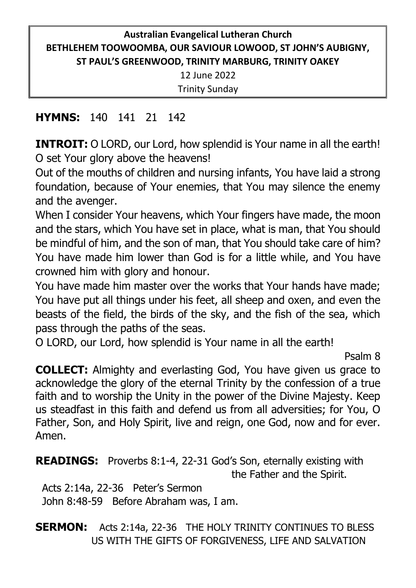# **Australian Evangelical Lutheran Church BETHLEHEM TOOWOOMBA, OUR SAVIOUR LOWOOD, ST JOHN'S AUBIGNY, ST PAUL'S GREENWOOD, TRINITY MARBURG, TRINITY OAKEY** 12 June 2022 Trinity Sunday

### **HYMNS:** 140 141 21 142

**INTROIT:** O LORD, our Lord, how splendid is Your name in all the earth! O set Your glory above the heavens!

Out of the mouths of children and nursing infants, You have laid a strong foundation, because of Your enemies, that You may silence the enemy and the avenger.

When I consider Your heavens, which Your fingers have made, the moon and the stars, which You have set in place, what is man, that You should be mindful of him, and the son of man, that You should take care of him? You have made him lower than God is for a little while, and You have crowned him with glory and honour.

You have made him master over the works that Your hands have made; You have put all things under his feet, all sheep and oxen, and even the beasts of the field, the birds of the sky, and the fish of the sea, which pass through the paths of the seas.

O LORD, our Lord, how splendid is Your name in all the earth!

Psalm 8

**COLLECT:** Almighty and everlasting God, You have given us grace to acknowledge the glory of the eternal Trinity by the confession of a true faith and to worship the Unity in the power of the Divine Majesty. Keep us steadfast in this faith and defend us from all adversities; for You, O Father, Son, and Holy Spirit, live and reign, one God, now and for ever. Amen.

**READINGS:** Proverbs 8:1-4, 22-31 God's Son, eternally existing with the Father and the Spirit.

 Acts 2:14a, 22-36 Peter's Sermon John 8:48-59 Before Abraham was, I am.

# **SERMON:** Acts 2:14a, 22-36 THE HOLY TRINITY CONTINUES TO BLESS US WITH THE GIFTS OF FORGIVENESS, LIFE AND SALVATION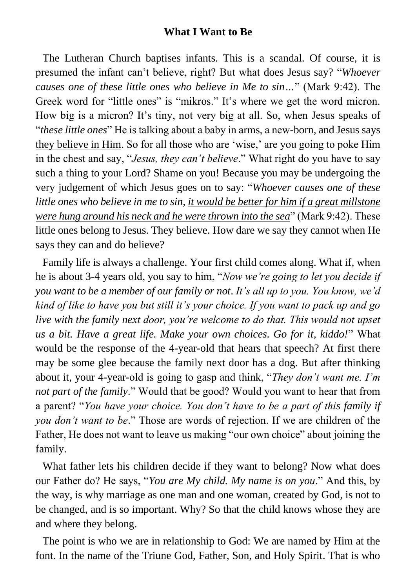#### **What I Want to Be**

The Lutheran Church baptises infants. This is a scandal. Of course, it is presumed the infant can't believe, right? But what does Jesus say? "*Whoever causes one of these little ones who believe in Me to sin…*" (Mark 9:42). The Greek word for "little ones" is "mikros." It's where we get the word micron. How big is a micron? It's tiny, not very big at all. So, when Jesus speaks of "*these little ones*" He is talking about a baby in arms, a new-born, and Jesus says they believe in Him. So for all those who are 'wise,' are you going to poke Him in the chest and say, "*Jesus, they can't believe*." What right do you have to say such a thing to your Lord? Shame on you! Because you may be undergoing the very judgement of which Jesus goes on to say: "*Whoever causes one of these little ones who believe in me to sin, it would be better for him if a great millstone were hung around his neck and he were thrown into the sea*" (Mark 9:42). These little ones belong to Jesus. They believe. How dare we say they cannot when He says they can and do believe?

Family life is always a challenge. Your first child comes along. What if, when he is about 3-4 years old, you say to him, "*Now we're going to let you decide if you want to be a member of our family or not*. *It's all up to you. You know, we'd kind of like to have you but still it's your choice. If you want to pack up and go live with the family next door, you're welcome to do that. This would not upset us a bit. Have a great life. Make your own choices. Go for it, kiddo!*" What would be the response of the 4-year-old that hears that speech? At first there may be some glee because the family next door has a dog. But after thinking about it, your 4-year-old is going to gasp and think, "*They don't want me. I'm not part of the family*." Would that be good? Would you want to hear that from a parent? "*You have your choice. You don't have to be a part of this family if you don't want to be*." Those are words of rejection. If we are children of the Father, He does not want to leave us making "our own choice" about joining the family.

What father lets his children decide if they want to belong? Now what does our Father do? He says, "*You are My child. My name is on you*." And this, by the way, is why marriage as one man and one woman, created by God, is not to be changed, and is so important. Why? So that the child knows whose they are and where they belong.

The point is who we are in relationship to God: We are named by Him at the font. In the name of the Triune God, Father, Son, and Holy Spirit. That is who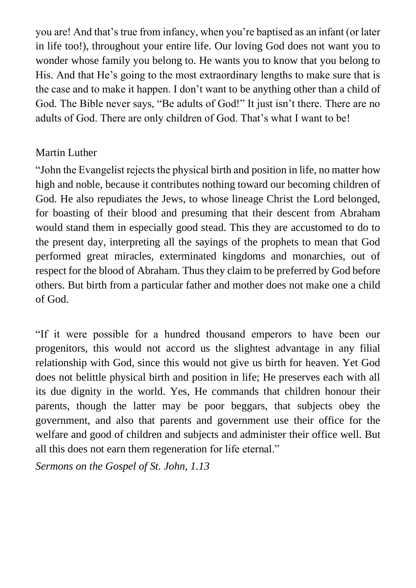you are! And that's true from infancy, when you're baptised as an infant (or later in life too!), throughout your entire life. Our loving God does not want you to wonder whose family you belong to. He wants you to know that you belong to His. And that He's going to the most extraordinary lengths to make sure that is the case and to make it happen. I don't want to be anything other than a child of God. The Bible never says, "Be adults of God!" It just isn't there. There are no adults of God. There are only children of God. That's what I want to be!

### Martin Luther

"John the Evangelist rejects the physical birth and position in life, no matter how high and noble, because it contributes nothing toward our becoming children of God. He also repudiates the Jews, to whose lineage Christ the Lord belonged, for boasting of their blood and presuming that their descent from Abraham would stand them in especially good stead. This they are accustomed to do to the present day, interpreting all the sayings of the prophets to mean that God performed great miracles, exterminated kingdoms and monarchies, out of respect for the blood of Abraham. Thus they claim to be preferred by God before others. But birth from a particular father and mother does not make one a child of God.

"If it were possible for a hundred thousand emperors to have been our progenitors, this would not accord us the slightest advantage in any filial relationship with God, since this would not give us birth for heaven. Yet God does not belittle physical birth and position in life; He preserves each with all its due dignity in the world. Yes, He commands that children honour their parents, though the latter may be poor beggars, that subjects obey the government, and also that parents and government use their office for the welfare and good of children and subjects and administer their office well. But all this does not earn them regeneration for life eternal."

*Sermons on the Gospel of St. John, 1.13*